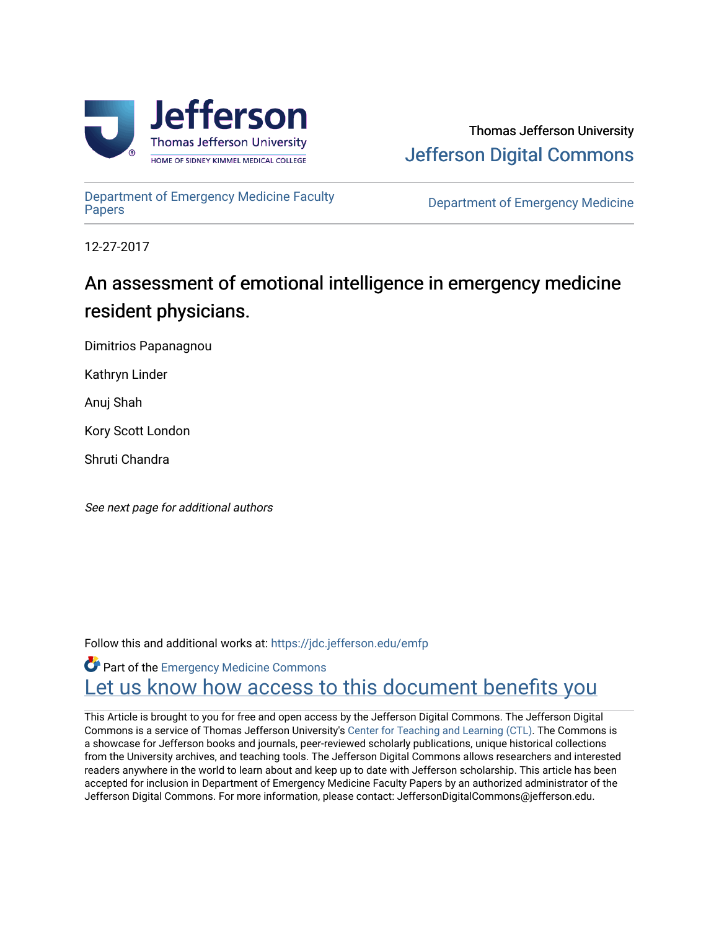

[Department of Emergency Medicine Faculty](https://jdc.jefferson.edu/emfp)

**Department of Emergency Medicine** 

12-27-2017

## An assessment of emotional intelligence in emergency medicine resident physicians.

Dimitrios Papanagnou

Kathryn Linder

Anuj Shah

Kory Scott London

Shruti Chandra

See next page for additional authors

Follow this and additional works at: [https://jdc.jefferson.edu/emfp](https://jdc.jefferson.edu/emfp?utm_source=jdc.jefferson.edu%2Femfp%2F181&utm_medium=PDF&utm_campaign=PDFCoverPages)

Part of the [Emergency Medicine Commons](http://network.bepress.com/hgg/discipline/685?utm_source=jdc.jefferson.edu%2Femfp%2F181&utm_medium=PDF&utm_campaign=PDFCoverPages) Let us know how access to this document benefits you

This Article is brought to you for free and open access by the Jefferson Digital Commons. The Jefferson Digital Commons is a service of Thomas Jefferson University's [Center for Teaching and Learning \(CTL\)](http://www.jefferson.edu/university/teaching-learning.html/). The Commons is a showcase for Jefferson books and journals, peer-reviewed scholarly publications, unique historical collections from the University archives, and teaching tools. The Jefferson Digital Commons allows researchers and interested readers anywhere in the world to learn about and keep up to date with Jefferson scholarship. This article has been accepted for inclusion in Department of Emergency Medicine Faculty Papers by an authorized administrator of the Jefferson Digital Commons. For more information, please contact: JeffersonDigitalCommons@jefferson.edu.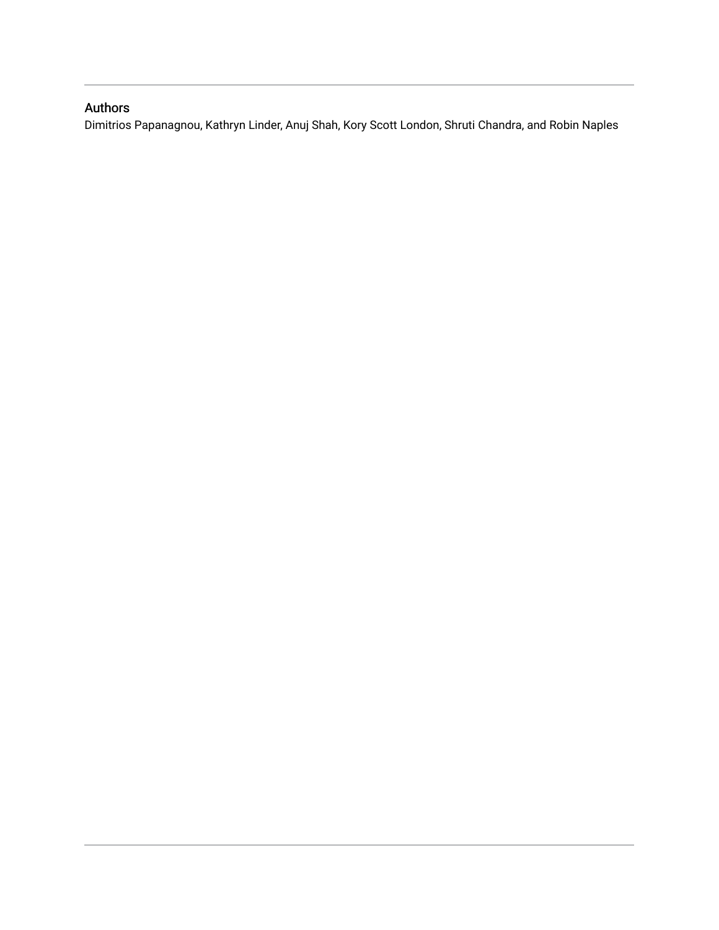## Authors

Dimitrios Papanagnou, Kathryn Linder, Anuj Shah, Kory Scott London, Shruti Chandra, and Robin Naples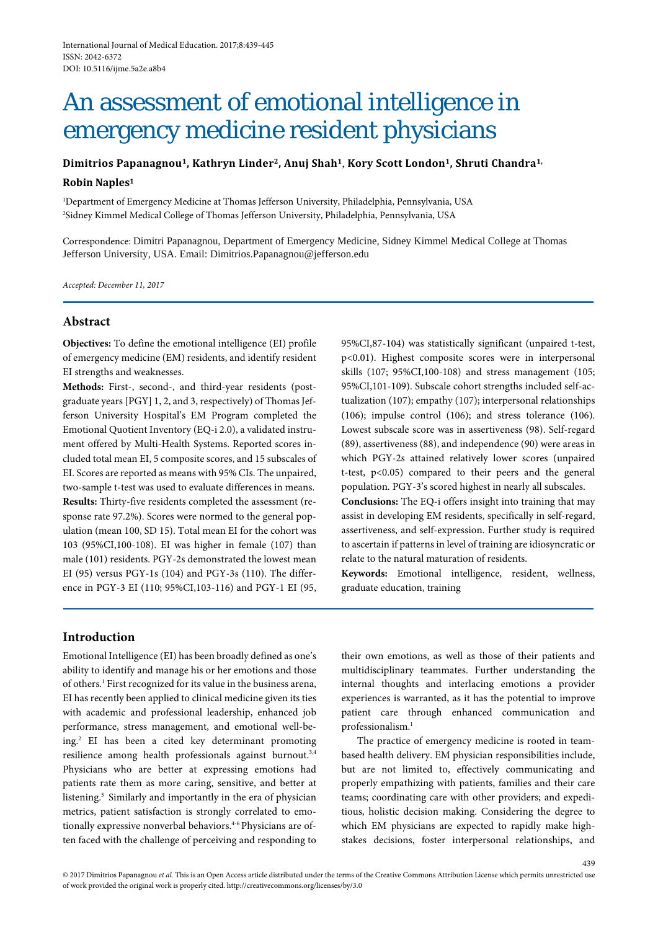# An assessment of emotional intelligence in emergency medicine resident physicians

**Dimitrios Papanagnou1, Kathryn Linder2, Anuj Shah1**, **Kory Scott London1, Shruti Chandra1,**

#### **Robin Naples1**

1 Department of Emergency Medicine at Thomas Jefferson University, Philadelphia, Pennsylvania, USA 2 Sidney Kimmel Medical College of Thomas Jefferson University, Philadelphia, Pennsylvania, USA

Correspondence: Dimitri Papanagnou, Department of Emergency Medicine, Sidney Kimmel Medical College at Thomas Jefferson University, USA. Email: Dimitrios.Papanagnou@jefferson.edu

*Accepted: December 11, 2017*

## **Abstract**

**Objectives:** To define the emotional intelligence (EI) profile of emergency medicine (EM) residents, and identify resident EI strengths and weaknesses.

**Methods:** First-, second-, and third-year residents (postgraduate years [PGY] 1, 2, and 3, respectively) of Thomas Jefferson University Hospital's EM Program completed the Emotional Quotient Inventory (EQ-i 2.0), a validated instrument offered by Multi-Health Systems. Reported scores included total mean EI, 5 composite scores, and 15 subscales of EI. Scores are reported as means with 95% CIs. The unpaired, two-sample t-test was used to evaluate differences in means. **Results:** Thirty-five residents completed the assessment (response rate 97.2%). Scores were normed to the general population (mean 100, SD 15). Total mean EI for the cohort was 103 (95%CI,100-108). EI was higher in female (107) than male (101) residents. PGY-2s demonstrated the lowest mean EI (95) versus PGY-1s (104) and PGY-3s (110). The difference in PGY-3 EI (110; 95%CI,103-116) and PGY-1 EI (95,

95%CI,87-104) was statistically significant (unpaired t-test, p<0.01). Highest composite scores were in interpersonal skills (107; 95%CI,100-108) and stress management (105; 95%CI,101-109). Subscale cohort strengths included self-actualization (107); empathy (107); interpersonal relationships (106); impulse control (106); and stress tolerance (106). Lowest subscale score was in assertiveness (98). Self-regard (89), assertiveness (88), and independence (90) were areas in which PGY-2s attained relatively lower scores (unpaired t-test, p<0.05) compared to their peers and the general population. PGY-3's scored highest in nearly all subscales.

**Conclusions:** The EQ-i offers insight into training that may assist in developing EM residents, specifically in self-regard, assertiveness, and self-expression. Further study is required to ascertain if patterns in level of training are idiosyncratic or relate to the natural maturation of residents.

**Keywords:** Emotional intelligence, resident, wellness, graduate education, training

## **Introduction**

Emotional Intelligence (EI) has been broadly defined as one's ability to identify and manage his or her emotions and those of others. <sup>1</sup> First recognized for its value in the business arena, EI has recently been applied to clinical medicine given its ties with academic and professional leadership, enhanced job performance, stress management, and emotional well-being.2 EI has been a cited key determinant promoting resilience among health professionals against burnout.<sup>3,4</sup> Physicians who are better at expressing emotions had patients rate them as more caring, sensitive, and better at listening.<sup>5</sup> Similarly and importantly in the era of physician metrics, patient satisfaction is strongly correlated to emotionally expressive nonverbal behaviors.<sup>4-6</sup> Physicians are often faced with the challenge of perceiving and responding to

their own emotions, as well as those of their patients and multidisciplinary teammates. Further understanding the internal thoughts and interlacing emotions a provider experiences is warranted, as it has the potential to improve patient care through enhanced communication and professionalism.<sup>1</sup>

The practice of emergency medicine is rooted in teambased health delivery. EM physician responsibilities include, but are not limited to, effectively communicating and properly empathizing with patients, families and their care teams; coordinating care with other providers; and expeditious, holistic decision making. Considering the degree to which EM physicians are expected to rapidly make highstakes decisions, foster interpersonal relationships, and

439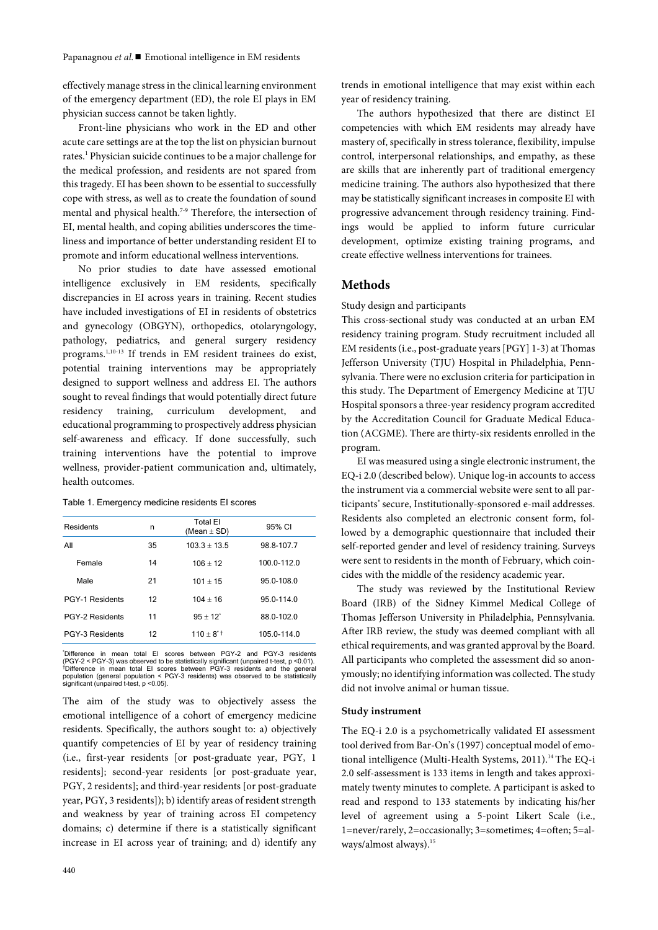effectively manage stress in the clinical learning environment of the emergency department (ED), the role EI plays in EM physician success cannot be taken lightly.

Front-line physicians who work in the ED and other acute care settings are at the top the list on physician burnout rates.1 Physician suicide continues to be a major challenge for the medical profession, and residents are not spared from this tragedy. EI has been shown to be essential to successfully cope with stress, as well as to create the foundation of sound mental and physical health.7-9 Therefore, the intersection of EI, mental health, and coping abilities underscores the timeliness and importance of better understanding resident EI to promote and inform educational wellness interventions.

No prior studies to date have assessed emotional intelligence exclusively in EM residents, specifically discrepancies in EI across years in training. Recent studies have included investigations of EI in residents of obstetrics and gynecology (OBGYN), orthopedics, otolaryngology, pathology, pediatrics, and general surgery residency programs.<sup>1,10-13</sup> If trends in EM resident trainees do exist, potential training interventions may be appropriately designed to support wellness and address EI. The authors sought to reveal findings that would potentially direct future residency training, curriculum development, and educational programming to prospectively address physician self-awareness and efficacy. If done successfully, such training interventions have the potential to improve wellness, provider-patient communication and, ultimately, health outcomes.

#### Table 1. Emergency medicine residents EI scores

| Residents              | n  | <b>Total El</b><br>(Mean $\pm$ SD) | 95% CI      |  |
|------------------------|----|------------------------------------|-------------|--|
| All                    | 35 | $103.3 + 13.5$                     | 98 8-107 7  |  |
| Female                 | 14 | $106 + 12$                         | 100.0-112.0 |  |
| Male                   | 21 | $101 + 15$                         | 95.0-108.0  |  |
| <b>PGY-1 Residents</b> | 12 | $104 + 16$                         | 95.0-114.0  |  |
| PGY-2 Residents        | 11 | $95 + 12^{*}$                      | 88.0-102.0  |  |
| PGY-3 Residents        | 12 | $110 + 8^{\circ}$ †                | 105.0-114.0 |  |

'Difference in mean total El scores between PGY-2 and PGY-3 residents<br>(PGY-2 < PGY-3) was observed to be statistically significant (unpaired t-test, p <0.01).<br>TDifference in mean total El scores between PGY-3 residents and significant (unpaired t-test, p <0.05).

The aim of the study was to objectively assess the emotional intelligence of a cohort of emergency medicine residents. Specifically, the authors sought to: a) objectively quantify competencies of EI by year of residency training (i.e., first-year residents [or post-graduate year, PGY, 1 residents]; second-year residents [or post-graduate year, PGY, 2 residents]; and third-year residents [or post-graduate year, PGY, 3 residents]); b) identify areas of resident strength and weakness by year of training across EI competency domains; c) determine if there is a statistically significant increase in EI across year of training; and d) identify any

The authors hypothesized that there are distinct EI competencies with which EM residents may already have mastery of, specifically in stress tolerance, flexibility, impulse control, interpersonal relationships, and empathy, as these are skills that are inherently part of traditional emergency medicine training. The authors also hypothesized that there may be statistically significant increases in composite EI with progressive advancement through residency training. Findings would be applied to inform future curricular development, optimize existing training programs, and create effective wellness interventions for trainees.

#### **Methods**

#### Study design and participants

This cross-sectional study was conducted at an urban EM residency training program. Study recruitment included all EM residents (i.e., post-graduate years [PGY] 1-3) at Thomas Jefferson University (TJU) Hospital in Philadelphia, Pennsylvania. There were no exclusion criteria for participation in this study. The Department of Emergency Medicine at TJU Hospital sponsors a three-year residency program accredited by the Accreditation Council for Graduate Medical Education (ACGME). There are thirty-six residents enrolled in the program.

EI was measured using a single electronic instrument, the EQ-i 2.0 (described below). Unique log-in accounts to access the instrument via a commercial website were sent to all participants' secure, Institutionally-sponsored e-mail addresses. Residents also completed an electronic consent form, followed by a demographic questionnaire that included their self-reported gender and level of residency training. Surveys were sent to residents in the month of February, which coincides with the middle of the residency academic year.

The study was reviewed by the Institutional Review Board (IRB) of the Sidney Kimmel Medical College of Thomas Jefferson University in Philadelphia, Pennsylvania. After IRB review, the study was deemed compliant with all ethical requirements, and was granted approval by the Board. All participants who completed the assessment did so anonymously; no identifying information was collected. The study did not involve animal or human tissue.

#### **Study instrument**

The EQ-i 2.0 is a psychometrically validated EI assessment tool derived from Bar-On's (1997) conceptual model of emotional intelligence (Multi-Health Systems, 2011).<sup>14</sup> The EQ-i 2.0 self-assessment is 133 items in length and takes approximately twenty minutes to complete. A participant is asked to read and respond to 133 statements by indicating his/her level of agreement using a 5-point Likert Scale (i.e., 1=never/rarely, 2=occasionally; 3=sometimes; 4=often; 5=always/almost always).15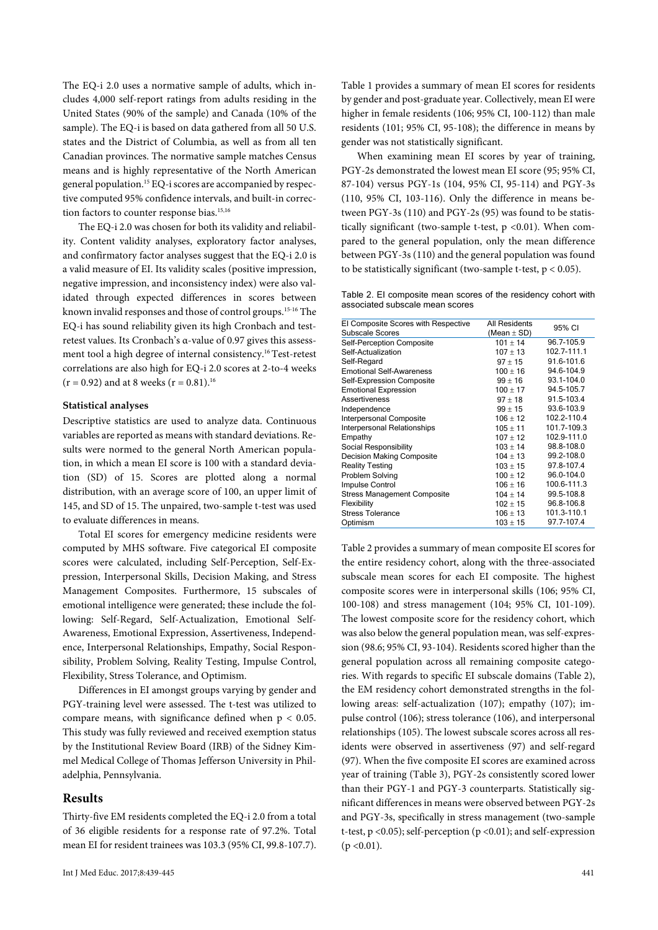The EQ-i 2.0 uses a normative sample of adults, which includes 4,000 self-report ratings from adults residing in the United States (90% of the sample) and Canada (10% of the sample). The EQ-i is based on data gathered from all 50 U.S. states and the District of Columbia, as well as from all ten Canadian provinces. The normative sample matches Census means and is highly representative of the North American general population.15 EQ-i scores are accompanied by respective computed 95% confidence intervals, and built-in correction factors to counter response bias.<sup>15,16</sup>

The EQ-i 2.0 was chosen for both its validity and reliability. Content validity analyses, exploratory factor analyses, and confirmatory factor analyses suggest that the EQ-i 2.0 is a valid measure of EI. Its validity scales (positive impression, negative impression, and inconsistency index) were also validated through expected differences in scores between known invalid responses and those of control groups.15-16 The EQ-i has sound reliability given its high Cronbach and testretest values. Its Cronbach's α-value of 0.97 gives this assessment tool a high degree of internal consistency.16 Test-retest correlations are also high for EQ-i 2.0 scores at 2-to-4 weeks  $(r = 0.92)$  and at 8 weeks  $(r = 0.81).$ <sup>16</sup>

#### **Statistical analyses**

Descriptive statistics are used to analyze data. Continuous variables are reported as means with standard deviations. Results were normed to the general North American population, in which a mean EI score is 100 with a standard deviation (SD) of 15. Scores are plotted along a normal distribution, with an average score of 100, an upper limit of 145, and SD of 15. The unpaired, two-sample t-test was used to evaluate differences in means.

Total EI scores for emergency medicine residents were computed by MHS software. Five categorical EI composite scores were calculated, including Self-Perception, Self-Expression, Interpersonal Skills, Decision Making, and Stress Management Composites. Furthermore, 15 subscales of emotional intelligence were generated; these include the following: Self-Regard, Self-Actualization, Emotional Self-Awareness, Emotional Expression, Assertiveness, Independence, Interpersonal Relationships, Empathy, Social Responsibility, Problem Solving, Reality Testing, Impulse Control, Flexibility, Stress Tolerance, and Optimism.

Differences in EI amongst groups varying by gender and PGY-training level were assessed. The t-test was utilized to compare means, with significance defined when  $p < 0.05$ . This study was fully reviewed and received exemption status by the Institutional Review Board (IRB) of the Sidney Kimmel Medical College of Thomas Jefferson University in Philadelphia, Pennsylvania.

#### **Results**

Thirty-five EM residents completed the EQ-i 2.0 from a total of 36 eligible residents for a response rate of 97.2%. Total mean EI for resident trainees was 103.3 (95% CI, 99.8-107.7).

Table 1 provides a summary of mean EI scores for residents by gender and post-graduate year. Collectively, mean EI were higher in female residents (106; 95% CI, 100-112) than male residents (101; 95% CI, 95-108); the difference in means by gender was not statistically significant.

When examining mean EI scores by year of training, PGY-2s demonstrated the lowest mean EI score (95; 95% CI, 87-104) versus PGY-1s (104, 95% CI, 95-114) and PGY-3s (110, 95% CI, 103-116). Only the difference in means between PGY-3s (110) and PGY-2s (95) was found to be statistically significant (two-sample t-test,  $p \le 0.01$ ). When compared to the general population, only the mean difference between PGY-3s (110) and the general population was found to be statistically significant (two-sample t-test,  $p < 0.05$ ).

Table 2. EI composite mean scores of the residency cohort with associated subscale mean scores

| EI Composite Scores with Respective<br>Subscale Scores | <b>All Residents</b> | 95% CI      |  |
|--------------------------------------------------------|----------------------|-------------|--|
|                                                        | (Mean ± SD)          |             |  |
| Self-Perception Composite                              | $101 + 14$           | 96.7-105.9  |  |
| Self-Actualization                                     | $107 + 13$           | 102.7-111.1 |  |
| Self-Regard                                            | $97 + 15$            | 91.6-101.6  |  |
| <b>Emotional Self-Awareness</b>                        | $100 + 16$           | 94.6-104.9  |  |
| Self-Expression Composite                              | $99 + 16$            | 93.1-104.0  |  |
| <b>Emotional Expression</b>                            | $100 + 17$           | 94.5-105.7  |  |
| <b>Assertiveness</b>                                   | $97 + 18$            | 91.5-103.4  |  |
| Independence                                           | $99 \pm 15$          | 93.6-103.9  |  |
| Interpersonal Composite                                | $106 + 12$           | 102.2-110.4 |  |
| Interpersonal Relationships                            | $105 + 11$           | 101.7-109.3 |  |
| Empathy                                                | $107 + 12$           | 102.9-111.0 |  |
| Social Responsibility                                  | $103 + 14$           | 98.8-108.0  |  |
| <b>Decision Making Composite</b>                       | $104 + 13$           | 99.2-108.0  |  |
| <b>Reality Testing</b>                                 | $103 + 15$           | 97.8-107.4  |  |
| Problem Solving                                        | $100 + 12$           | 96.0-104.0  |  |
| Impulse Control                                        | $106 \pm 16$         | 100.6-111.3 |  |
| <b>Stress Management Composite</b>                     | $104 + 14$           | 99.5-108.8  |  |
| Flexibility                                            | $102 \pm 15$         | 96.8-106.8  |  |
| <b>Stress Tolerance</b>                                | $106 \pm 13$         | 101.3-110.1 |  |
| Optimism                                               | $103 \pm 15$         | 97.7-107.4  |  |
|                                                        |                      |             |  |

Table 2 provides a summary of mean composite EI scores for the entire residency cohort, along with the three-associated subscale mean scores for each EI composite. The highest composite scores were in interpersonal skills (106; 95% CI, 100-108) and stress management (104; 95% CI, 101-109). The lowest composite score for the residency cohort, which was also below the general population mean, was self-expression (98.6; 95% CI, 93-104). Residents scored higher than the general population across all remaining composite categories. With regards to specific EI subscale domains (Table 2), the EM residency cohort demonstrated strengths in the following areas: self-actualization (107); empathy (107); impulse control (106); stress tolerance (106), and interpersonal relationships (105). The lowest subscale scores across all residents were observed in assertiveness (97) and self-regard (97). When the five composite EI scores are examined across year of training (Table 3), PGY-2s consistently scored lower than their PGY-1 and PGY-3 counterparts. Statistically significant differences in means were observed between PGY-2s and PGY-3s, specifically in stress management (two-sample t-test, p <0.05); self-perception (p <0.01); and self-expression  $(p \le 0.01)$ .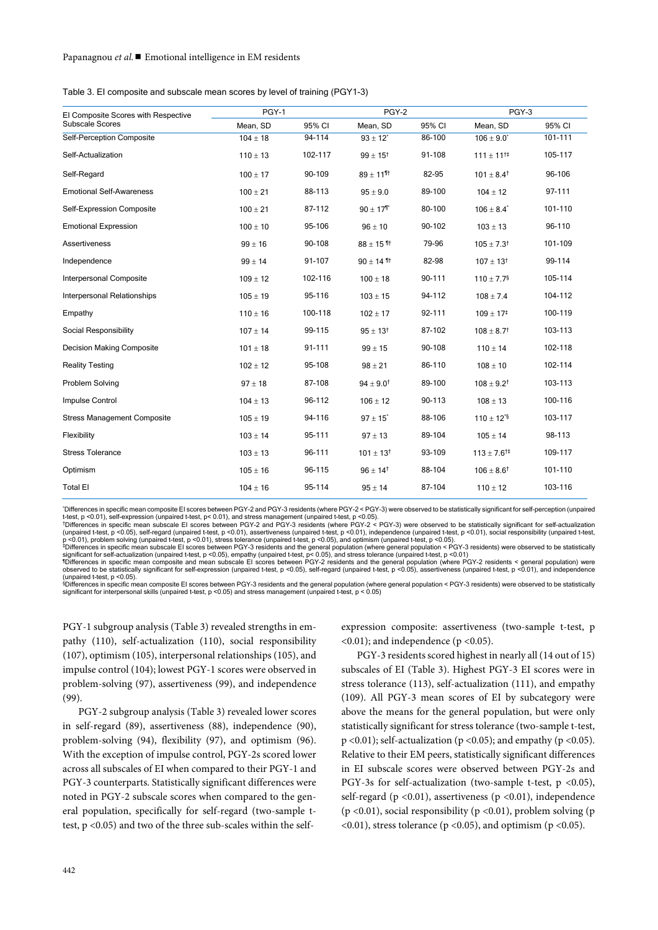Table 3. EI composite and subscale mean scores by level of training (PGY1-3)

| El Composite Scores with Respective | PGY-1        |         | PGY-2                     |        | PGY-3                           |         |
|-------------------------------------|--------------|---------|---------------------------|--------|---------------------------------|---------|
| Subscale Scores                     | Mean, SD     | 95% CI  | Mean, SD                  | 95% CI | Mean, SD                        | 95% CI  |
| Self-Perception Composite           | $104 \pm 18$ | 94-114  | $93 \pm 12$ <sup>*</sup>  | 86-100 | $106 \pm 9.0^*$                 | 101-111 |
| Self-Actualization                  | $110 \pm 13$ | 102-117 | $99 \pm 15^{\dagger}$     | 91-108 | $111 \pm 11$ <sup>#</sup>       | 105-117 |
| Self-Regard                         | $100 \pm 17$ | 90-109  | $89 \pm 11$ <sup>11</sup> | 82-95  | $101 \pm 8.4^{\dagger}$         | 96-106  |
| <b>Emotional Self-Awareness</b>     | $100 \pm 21$ | 88-113  | $95 \pm 9.0$              | 89-100 | $104 \pm 12$                    | 97-111  |
| Self-Expression Composite           | $100 \pm 21$ | 87-112  | $90 \pm 17$ <sup>1</sup>  | 80-100 | $106 \pm 8.4$ <sup>*</sup>      | 101-110 |
| <b>Emotional Expression</b>         | $100 \pm 10$ | 95-106  | $96 \pm 10$               | 90-102 | $103 \pm 13$                    | 96-110  |
| <b>Assertiveness</b>                | $99 \pm 16$  | 90-108  | $88 \pm 15$ <sup>11</sup> | 79-96  | $105 \pm 7.3^{\dagger}$         | 101-109 |
| Independence                        | $99 \pm 14$  | 91-107  | $90 \pm 14$ <sup>11</sup> | 82-98  | $107 \pm 13^{+}$                | 99-114  |
| Interpersonal Composite             | $109 \pm 12$ | 102-116 | $100 \pm 18$              | 90-111 | $110 \pm 7.7$ <sup>§</sup>      | 105-114 |
| Interpersonal Relationships         | $105 \pm 19$ | 95-116  | $103 \pm 15$              | 94-112 | $108 \pm 7.4$                   | 104-112 |
| Empathy                             | $110 \pm 16$ | 100-118 | $102 \pm 17$              | 92-111 | $109 \pm 17^{\ddagger}$         | 100-119 |
| Social Responsibility               | $107 \pm 14$ | 99-115  | $95 \pm 13^{+}$           | 87-102 | $108 \pm 8.7^{\dagger}$         | 103-113 |
| <b>Decision Making Composite</b>    | $101 \pm 18$ | 91-111  | $99 \pm 15$               | 90-108 | $110 \pm 14$                    | 102-118 |
| <b>Reality Testing</b>              | $102 \pm 12$ | 95-108  | $98 \pm 21$               | 86-110 | $108 \pm 10$                    | 102-114 |
| Problem Solving                     | $97 \pm 18$  | 87-108  | $94 \pm 9.0^{\dagger}$    | 89-100 | $108 \pm 9.2^{\dagger}$         | 103-113 |
| Impulse Control                     | $104 \pm 13$ | 96-112  | $106 \pm 12$              | 90-113 | $108 \pm 13$                    | 100-116 |
| <b>Stress Management Composite</b>  | $105 \pm 19$ | 94-116  | $97 \pm 15$ <sup>*</sup>  | 88-106 | $110 \pm 12^{5}$                | 103-117 |
| Flexibility                         | $103 \pm 14$ | 95-111  | $97 \pm 13$               | 89-104 | $105 \pm 14$                    | 98-113  |
| <b>Stress Tolerance</b>             | $103 \pm 13$ | 96-111  | $101 \pm 13^{\dagger}$    | 93-109 | $113 \pm 7.6^{\dagger\ddagger}$ | 109-117 |
| Optimism                            | $105 \pm 16$ | 96-115  | $96 \pm 14^{\dagger}$     | 88-104 | $106 \pm 8.6^{\dagger}$         | 101-110 |
| <b>Total EI</b>                     | $104 \pm 16$ | 95-114  | $95 \pm 14$               | 87-104 | $110 \pm 12$                    | 103-116 |
|                                     |              |         |                           |        |                                 |         |

\* Differences in specific mean composite EI scores between PGY-2 and PGY-3 residents (where PGY-2 < PGY-3) were observed to be statistically significant for self-perception (unpaired t-test, p <0.01), self-expression (unpaired t-test, p< 0.01), and stress management (unpaired t-test, p <0.05).<br>†Differences in specific mean subscale El scores between PGY-2 and PGY-3 residents (where PGY-2 < PGY-3) were

exponsibility (unpaired t-test, p <0.05), self-regard (unpaired t-test, p <0.01), assertiveness (unpaired t-test, p <0.01), independence (unpaired t-test, p <0.01), social responsibility (unpaired t-test, p <0.01), social

p <0.01), problem solving (unpaired t-test, p <0.01), stress tolerance (unpaired t-test, p <0.05), and optimism (unpaired t-test, p <0.05).<br>+Differences in specific mean subscale El scores between PGY-3 residents and the g

(unpaired t-test, p <0.05).<br>®Differences in specific mean composite El scores between PGY-3 residents and the general population (where general population < PGY-3 residents) were observed to be statistically<br>®ignificant f

PGY-1 subgroup analysis (Table 3) revealed strengths in empathy (110), self-actualization (110), social responsibility (107), optimism (105), interpersonal relationships (105), and impulse control (104); lowest PGY-1 scores were observed in problem-solving (97), assertiveness (99), and independence (99).

PGY-2 subgroup analysis (Table 3) revealed lower scores in self-regard (89), assertiveness (88), independence (90), problem-solving (94), flexibility (97), and optimism (96). With the exception of impulse control, PGY-2s scored lower across all subscales of EI when compared to their PGY-1 and PGY-3 counterparts. Statistically significant differences were noted in PGY-2 subscale scores when compared to the general population, specifically for self-regard (two-sample ttest, p <0.05) and two of the three sub-scales within the selfexpression composite: assertiveness (two-sample t-test, p  $(0.01)$ ; and independence (p $(0.05)$ .

PGY-3 residents scored highest in nearly all (14 out of 15) subscales of EI (Table 3). Highest PGY-3 EI scores were in stress tolerance (113), self-actualization (111), and empathy (109). All PGY-3 mean scores of EI by subcategory were above the means for the general population, but were only statistically significant for stress tolerance (two-sample t-test,  $p$  <0.01); self-actualization ( $p$  <0.05); and empathy ( $p$  <0.05). Relative to their EM peers, statistically significant differences in EI subscale scores were observed between PGY-2s and PGY-3s for self-actualization (two-sample t-test, p <0.05), self-regard ( $p < 0.01$ ), assertiveness ( $p < 0.01$ ), independence (p <0.01), social responsibility (p <0.01), problem solving (p  $(0.01)$ , stress tolerance (p $(0.05)$ , and optimism (p $(0.05)$ .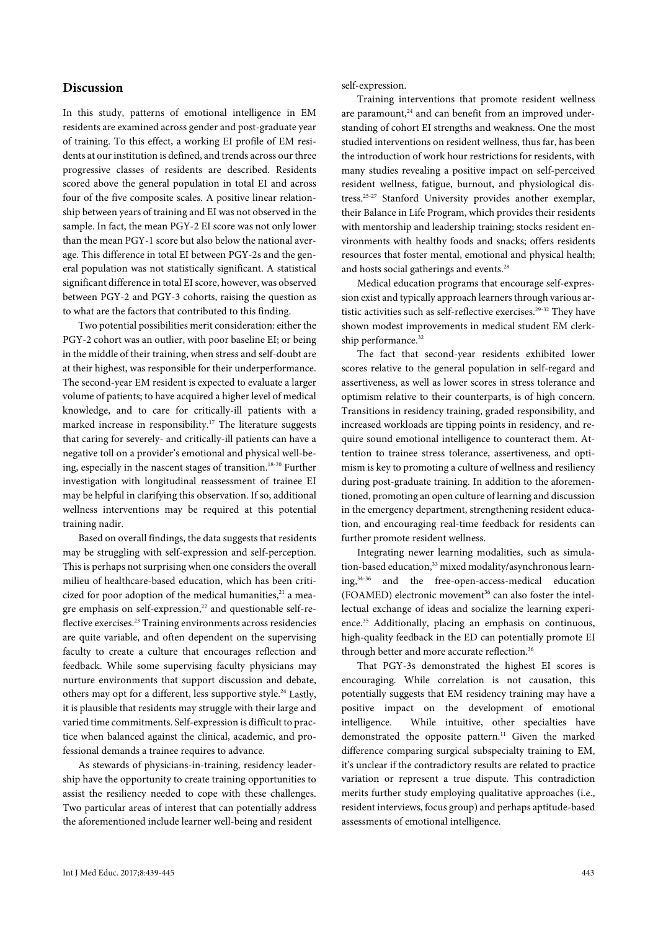#### **Discussion**

In this study, patterns of emotional intelligence in EM residents are examined across gender and post-graduate year of training. To this effect, a working EI profile of EM residents at our institution is defined, and trends across our three progressive classes of residents are described. Residents scored above the general population in total EI and across four of the five composite scales. A positive linear relationship between years of training and EI was not observed in the sample. In fact, the mean PGY-2 EI score was not only lower than the mean PGY-1 score but also below the national average. This difference in total EI between PGY-2s and the general population was not statistically significant. A statistical significant difference in total EI score, however, was observed between PGY-2 and PGY-3 cohorts, raising the question as to what are the factors that contributed to this finding.

Two potential possibilities merit consideration: either the PGY-2 cohort was an outlier, with poor baseline EI; or being in the middle of their training, when stress and self-doubt are at their highest, was responsible for their underperformance. The second-year EM resident is expected to evaluate a larger volume of patients; to have acquired a higher level of medical knowledge, and to care for critically-ill patients with a marked increase in responsibility.<sup>17</sup> The literature suggests that caring for severely- and critically-ill patients can have a negative toll on a provider's emotional and physical well-being, especially in the nascent stages of transition.<sup>18-20</sup> Further investigation with longitudinal reassessment of trainee EI may be helpful in clarifying this observation. If so, additional wellness interventions may be required at this potential training nadir.

Based on overall findings, the data suggests that residents may be struggling with self-expression and self-perception. This is perhaps not surprising when one considers the overall milieu of healthcare-based education, which has been criticized for poor adoption of the medical humanities, $21$  a meagre emphasis on self-expression,<sup>22</sup> and questionable self-reflective exercises.<sup>23</sup> Training environments across residencies are quite variable, and often dependent on the supervising faculty to create a culture that encourages reflection and feedback. While some supervising faculty physicians may nurture environments that support discussion and debate, others may opt for a different, less supportive style.<sup>24</sup> Lastly, it is plausible that residents may struggle with their large and varied time commitments. Self-expression is difficult to practice when balanced against the clinical, academic, and professional demands a trainee requires to advance.

As stewards of physicians-in-training, residency leadership have the opportunity to create training opportunities to assist the resiliency needed to cope with these challenges. Two particular areas of interest that can potentially address the aforementioned include learner well-being and resident

self-expression.

Training interventions that promote resident wellness are paramount,<sup>24</sup> and can benefit from an improved understanding of cohort EI strengths and weakness. One the most studied interventions on resident wellness, thus far, has been the introduction of work hour restrictions for residents, with many studies revealing a positive impact on self-perceived resident wellness, fatigue, burnout, and physiological distress.25-27 Stanford University provides another exemplar, their Balance in Life Program, which provides their residents with mentorship and leadership training; stocks resident environments with healthy foods and snacks; offers residents resources that foster mental, emotional and physical health; and hosts social gatherings and events.<sup>28</sup>

Medical education programs that encourage self-expression exist and typically approach learners through various artistic activities such as self-reflective exercises.<sup>29-32</sup> They have shown modest improvements in medical student EM clerkship performance.<sup>32</sup>

The fact that second-year residents exhibited lower scores relative to the general population in self-regard and assertiveness, as well as lower scores in stress tolerance and optimism relative to their counterparts, is of high concern. Transitions in residency training, graded responsibility, and increased workloads are tipping points in residency, and require sound emotional intelligence to counteract them. Attention to trainee stress tolerance, assertiveness, and optimism is key to promoting a culture of wellness and resiliency during post-graduate training. In addition to the aforementioned, promoting an open culture of learning and discussion in the emergency department, strengthening resident education, and encouraging real-time feedback for residents can further promote resident wellness.

Integrating newer learning modalities, such as simulation-based education,<sup>33</sup> mixed modality/asynchronous learning,34-36 and the free-open-access-medical education (FOAMED) electronic movement<sup>36</sup> can also foster the intellectual exchange of ideas and socialize the learning experience.<sup>35</sup> Additionally, placing an emphasis on continuous, high-quality feedback in the ED can potentially promote EI through better and more accurate reflection.<sup>36</sup>

That PGY-3s demonstrated the highest EI scores is encouraging. While correlation is not causation, this potentially suggests that EM residency training may have a positive impact on the development of emotional intelligence. While intuitive, other specialties have demonstrated the opposite pattern.<sup>11</sup> Given the marked difference comparing surgical subspecialty training to EM, it's unclear if the contradictory results are related to practice variation or represent a true dispute. This contradiction merits further study employing qualitative approaches (i.e., resident interviews, focus group) and perhaps aptitude-based assessments of emotional intelligence.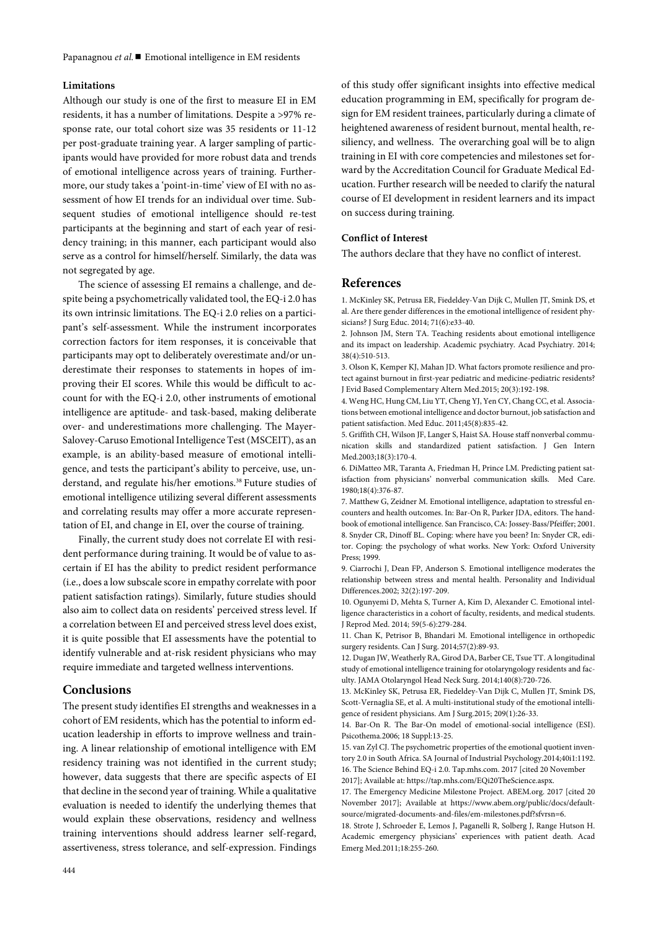#### **Limitations**

Although our study is one of the first to measure EI in EM residents, it has a number of limitations. Despite a >97% response rate, our total cohort size was 35 residents or 11-12 per post-graduate training year. A larger sampling of participants would have provided for more robust data and trends of emotional intelligence across years of training. Furthermore, our study takes a 'point-in-time' view of EI with no assessment of how EI trends for an individual over time. Subsequent studies of emotional intelligence should re-test participants at the beginning and start of each year of residency training; in this manner, each participant would also serve as a control for himself/herself. Similarly, the data was not segregated by age.

The science of assessing EI remains a challenge, and despite being a psychometrically validated tool, the EQ-i 2.0 has its own intrinsic limitations. The EQ-i 2.0 relies on a participant's self-assessment. While the instrument incorporates correction factors for item responses, it is conceivable that participants may opt to deliberately overestimate and/or underestimate their responses to statements in hopes of improving their EI scores. While this would be difficult to account for with the EQ-i 2.0, other instruments of emotional intelligence are aptitude- and task-based, making deliberate over- and underestimations more challenging. The Mayer-Salovey-Caruso Emotional Intelligence Test (MSCEIT), as an example, is an ability-based measure of emotional intelligence, and tests the participant's ability to perceive, use, understand, and regulate his/her emotions.<sup>38</sup> Future studies of emotional intelligence utilizing several different assessments and correlating results may offer a more accurate representation of EI, and change in EI, over the course of training.

Finally, the current study does not correlate EI with resident performance during training. It would be of value to ascertain if EI has the ability to predict resident performance (i.e., does a low subscale score in empathy correlate with poor patient satisfaction ratings). Similarly, future studies should also aim to collect data on residents' perceived stress level. If a correlation between EI and perceived stress level does exist, it is quite possible that EI assessments have the potential to identify vulnerable and at-risk resident physicians who may require immediate and targeted wellness interventions.

#### **Conclusions**

The present study identifies EI strengths and weaknesses in a cohort of EM residents, which has the potential to inform education leadership in efforts to improve wellness and training. A linear relationship of emotional intelligence with EM residency training was not identified in the current study; however, data suggests that there are specific aspects of EI that decline in the second year of training. While a qualitative evaluation is needed to identify the underlying themes that would explain these observations, residency and wellness training interventions should address learner self-regard, assertiveness, stress tolerance, and self-expression. Findings

of this study offer significant insights into effective medical education programming in EM, specifically for program design for EM resident trainees, particularly during a climate of heightened awareness of resident burnout, mental health, resiliency, and wellness. The overarching goal will be to align training in EI with core competencies and milestones set forward by the Accreditation Council for Graduate Medical Education. Further research will be needed to clarify the natural course of EI development in resident learners and its impact on success during training.

#### **Conflict of Interest**

The authors declare that they have no conflict of interest.

## **References**

1. McKinley SK, Petrusa ER, Fiedeldey-Van Dijk C, Mullen JT, Smink DS, et al. Are there gender differences in the emotional intelligence of resident physicians? J Surg Educ. 2014; 71(6):e33-40.

2. Johnson JM, Stern TA. Teaching residents about emotional intelligence and its impact on leadership. Academic psychiatry. Acad Psychiatry. 2014; 38(4):510-513.

3. Olson K, Kemper KJ, Mahan JD. What factors promote resilience and protect against burnout in first-year pediatric and medicine-pediatric residents? J Evid Based Complementary Altern Med.2015; 20(3):192-198.

4. Weng HC, Hung CM, Liu YT, Cheng YJ, Yen CY, Chang CC, et al. Associations between emotional intelligence and doctor burnout, job satisfaction and patient satisfaction. Med Educ. 2011;45(8):835-42.

5. Griffith CH, Wilson JF, Langer S, Haist SA. House staff nonverbal communication skills and standardized patient satisfaction. J Gen Intern Med.2003;18(3):170-4.

6. DiMatteo MR, Taranta A, Friedman H, Prince LM. Predicting patient satisfaction from physicians' nonverbal communication skills. Med Care. 1980;18(4):376-87.

7. Matthew G, Zeidner M. Emotional intelligence, adaptation to stressful encounters and health outcomes. In: Bar-On R, Parker JDA, editors. The handbook of emotional intelligence. San Francisco, CA: Jossey-Bass/Pfeiffer; 2001. 8. Snyder CR, Dinoff BL. Coping: where have you been? In: Snyder CR, editor. Coping: the psychology of what works. New York: Oxford University Press; 1999.

9. Ciarrochi J, Dean FP, Anderson S. Emotional intelligence moderates the relationship between stress and mental health. Personality and Individual Differences.2002; 32(2):197-209.

10. Ogunyemi D, Mehta S, Turner A, Kim D, Alexander C. Emotional intelligence characteristics in a cohort of faculty, residents, and medical students. J Reprod Med. 2014; 59(5-6):279-284.

11. Chan K, Petrisor B, Bhandari M. Emotional intelligence in orthopedic surgery residents. Can J Surg. 2014;57(2):89-93.

12. Dugan JW, Weatherly RA, Girod DA, Barber CE, Tsue TT. A longitudinal study of emotional intelligence training for otolaryngology residents and faculty. JAMA Otolaryngol Head Neck Surg. 2014;140(8):720-726.

13. McKinley SK, Petrusa ER, Fiedeldey-Van Dijk C, Mullen JT, Smink DS, Scott-Vernaglia SE, et al. A multi-institutional study of the emotional intelligence of resident physicians. Am J Surg.2015; 209(1):26-33.

14. Bar-On R. The Bar-On model of emotional-social intelligence (ESI). Psicothema.2006; 18 Suppl:13-25.

15. van Zyl CJ. The psychometric properties of the emotional quotient inventory 2.0 in South Africa. SA Journal of Industrial Psychology.2014;40i1:1192. 16. The Science Behind EQ-i 2.0. Tap.mhs.com. 2017 [cited 20 November 2017]; Available at[: https://tap.mhs.com/EQi20TheScience.aspx.](https://tap.mhs.com/EQi20TheScience.aspx)

17. The Emergency Medicine Milestone Project. ABEM.org. 2017 [cited 20 November 2017]; Available at [https://www.abem.org/public/docs/default](https://www.abem.org/public/docs/default-source/migrated-documents-and-files/em-milestones.pdf?sfvrsn=6)[source/migrated-documents-and-files/em-milestones.pdf?sfvrsn=6.](https://www.abem.org/public/docs/default-source/migrated-documents-and-files/em-milestones.pdf?sfvrsn=6)

18. Strote J, Schroeder E, Lemos J, Paganelli R, Solberg J, Range Hutson H. Academic emergency physicians' experiences with patient death. Acad Emerg Med.2011;18:255-260.